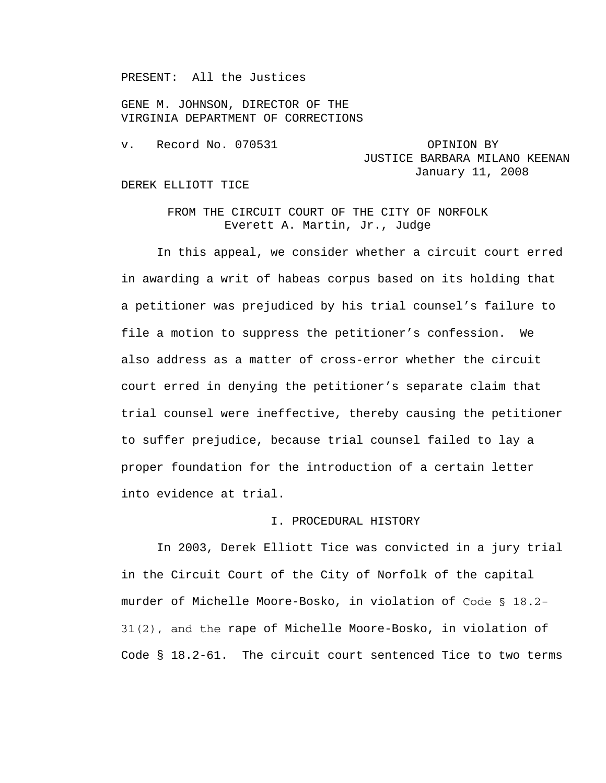PRESENT: All the Justices

GENE M. JOHNSON, DIRECTOR OF THE VIRGINIA DEPARTMENT OF CORRECTIONS

v. Record No. 070531 OPINION BY

JUSTICE BARBARA MILANO KEENAN January 11, 2008

#### DEREK ELLIOTT TICE

# FROM THE CIRCUIT COURT OF THE CITY OF NORFOLK Everett A. Martin, Jr., Judge

 In this appeal, we consider whether a circuit court erred in awarding a writ of habeas corpus based on its holding that a petitioner was prejudiced by his trial counsel's failure to file a motion to suppress the petitioner's confession. We also address as a matter of cross-error whether the circuit court erred in denying the petitioner's separate claim that trial counsel were ineffective, thereby causing the petitioner to suffer prejudice, because trial counsel failed to lay a proper foundation for the introduction of a certain letter into evidence at trial.

## I. PROCEDURAL HISTORY

 In 2003, Derek Elliott Tice was convicted in a jury trial in the Circuit Court of the City of Norfolk of the capital murder of Michelle Moore-Bosko, in violation of Code § 18.2- 31(2), and the rape of Michelle Moore-Bosko, in violation of Code § 18.2-61. The circuit court sentenced Tice to two terms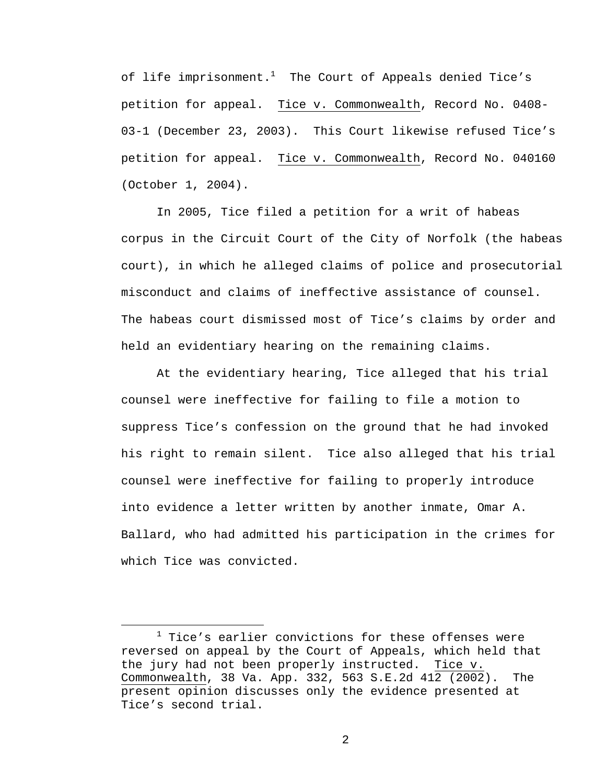of life imprisonment. $^1$  The Court of Appeals denied Tice's petition for appeal. Tice v. Commonwealth, Record No. 0408- 03-1 (December 23, 2003). This Court likewise refused Tice's petition for appeal. Tice v. Commonwealth, Record No. 040160 (October 1, 2004).

 In 2005, Tice filed a petition for a writ of habeas corpus in the Circuit Court of the City of Norfolk (the habeas court), in which he alleged claims of police and prosecutorial misconduct and claims of ineffective assistance of counsel. The habeas court dismissed most of Tice's claims by order and held an evidentiary hearing on the remaining claims.

At the evidentiary hearing, Tice alleged that his trial counsel were ineffective for failing to file a motion to suppress Tice's confession on the ground that he had invoked his right to remain silent. Tice also alleged that his trial counsel were ineffective for failing to properly introduce into evidence a letter written by another inmate, Omar A. Ballard, who had admitted his participation in the crimes for which Tice was convicted.

 $\overline{\phantom{a}}$  $1$  Tice's earlier convictions for these offenses were reversed on appeal by the Court of Appeals, which held that the jury had not been properly instructed. Tice v. Commonwealth, 38 Va. App. 332, 563 S.E.2d 412 (2002). The present opinion discusses only the evidence presented at Tice's second trial.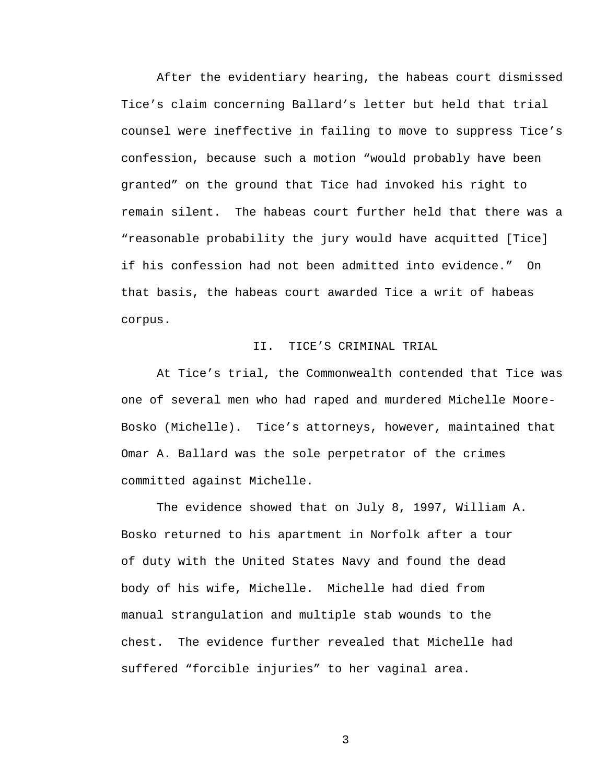After the evidentiary hearing, the habeas court dismissed Tice's claim concerning Ballard's letter but held that trial counsel were ineffective in failing to move to suppress Tice's confession, because such a motion "would probably have been granted" on the ground that Tice had invoked his right to remain silent. The habeas court further held that there was a "reasonable probability the jury would have acquitted [Tice] if his confession had not been admitted into evidence." On that basis, the habeas court awarded Tice a writ of habeas corpus.

### II. TICE'S CRIMINAL TRIAL

At Tice's trial, the Commonwealth contended that Tice was one of several men who had raped and murdered Michelle Moore-Bosko (Michelle). Tice's attorneys, however, maintained that Omar A. Ballard was the sole perpetrator of the crimes committed against Michelle.

The evidence showed that on July 8, 1997, William A. Bosko returned to his apartment in Norfolk after a tour of duty with the United States Navy and found the dead body of his wife, Michelle. Michelle had died from manual strangulation and multiple stab wounds to the chest. The evidence further revealed that Michelle had suffered "forcible injuries" to her vaginal area.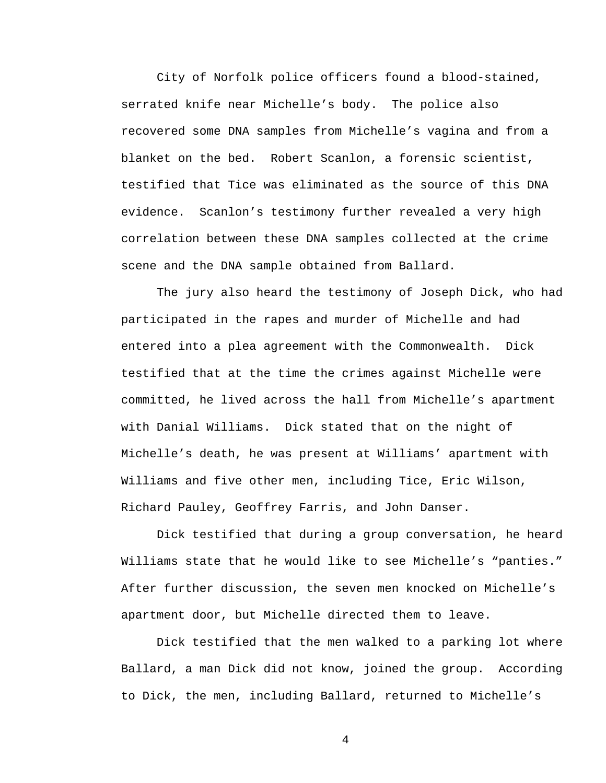City of Norfolk police officers found a blood-stained, serrated knife near Michelle's body. The police also recovered some DNA samples from Michelle's vagina and from a blanket on the bed. Robert Scanlon, a forensic scientist, testified that Tice was eliminated as the source of this DNA evidence. Scanlon's testimony further revealed a very high correlation between these DNA samples collected at the crime scene and the DNA sample obtained from Ballard.

The jury also heard the testimony of Joseph Dick, who had participated in the rapes and murder of Michelle and had entered into a plea agreement with the Commonwealth. Dick testified that at the time the crimes against Michelle were committed, he lived across the hall from Michelle's apartment with Danial Williams. Dick stated that on the night of Michelle's death, he was present at Williams' apartment with Williams and five other men, including Tice, Eric Wilson, Richard Pauley, Geoffrey Farris, and John Danser.

Dick testified that during a group conversation, he heard Williams state that he would like to see Michelle's "panties." After further discussion, the seven men knocked on Michelle's apartment door, but Michelle directed them to leave.

 Dick testified that the men walked to a parking lot where Ballard, a man Dick did not know, joined the group. According to Dick, the men, including Ballard, returned to Michelle's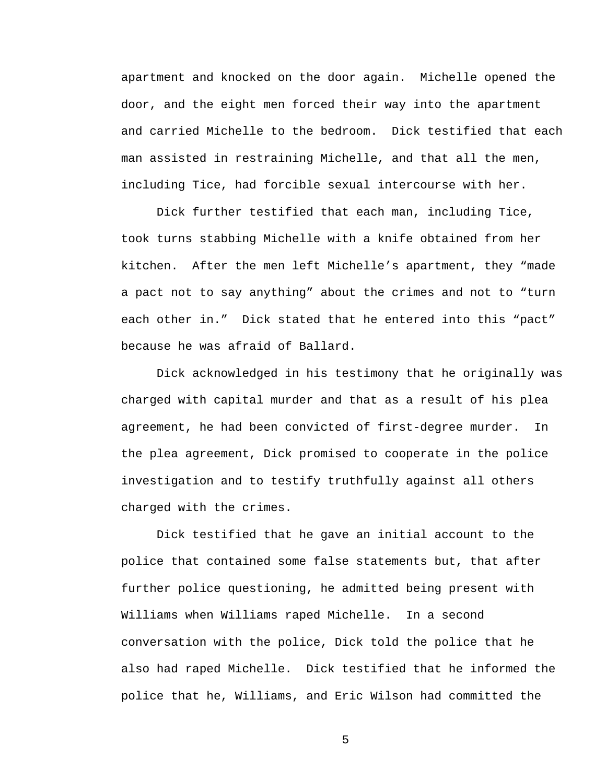apartment and knocked on the door again. Michelle opened the door, and the eight men forced their way into the apartment and carried Michelle to the bedroom. Dick testified that each man assisted in restraining Michelle, and that all the men, including Tice, had forcible sexual intercourse with her.

 Dick further testified that each man, including Tice, took turns stabbing Michelle with a knife obtained from her kitchen. After the men left Michelle's apartment, they "made a pact not to say anything" about the crimes and not to "turn each other in." Dick stated that he entered into this "pact" because he was afraid of Ballard.

 Dick acknowledged in his testimony that he originally was charged with capital murder and that as a result of his plea agreement, he had been convicted of first-degree murder. In the plea agreement, Dick promised to cooperate in the police investigation and to testify truthfully against all others charged with the crimes.

 Dick testified that he gave an initial account to the police that contained some false statements but, that after further police questioning, he admitted being present with Williams when Williams raped Michelle. In a second conversation with the police, Dick told the police that he also had raped Michelle. Dick testified that he informed the police that he, Williams, and Eric Wilson had committed the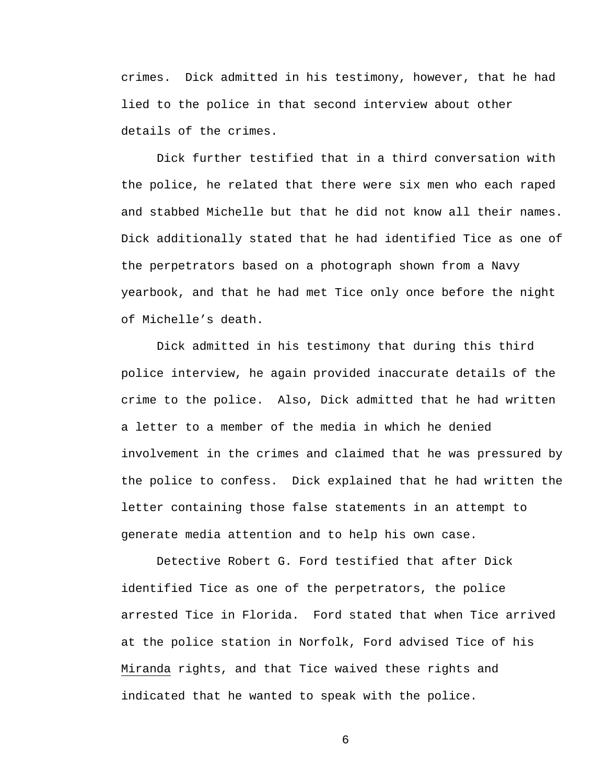crimes. Dick admitted in his testimony, however, that he had lied to the police in that second interview about other details of the crimes.

Dick further testified that in a third conversation with the police, he related that there were six men who each raped and stabbed Michelle but that he did not know all their names. Dick additionally stated that he had identified Tice as one of the perpetrators based on a photograph shown from a Navy yearbook, and that he had met Tice only once before the night of Michelle's death.

Dick admitted in his testimony that during this third police interview, he again provided inaccurate details of the crime to the police. Also, Dick admitted that he had written a letter to a member of the media in which he denied involvement in the crimes and claimed that he was pressured by the police to confess. Dick explained that he had written the letter containing those false statements in an attempt to generate media attention and to help his own case.

 Detective Robert G. Ford testified that after Dick identified Tice as one of the perpetrators, the police arrested Tice in Florida. Ford stated that when Tice arrived at the police station in Norfolk, Ford advised Tice of his Miranda rights, and that Tice waived these rights and indicated that he wanted to speak with the police.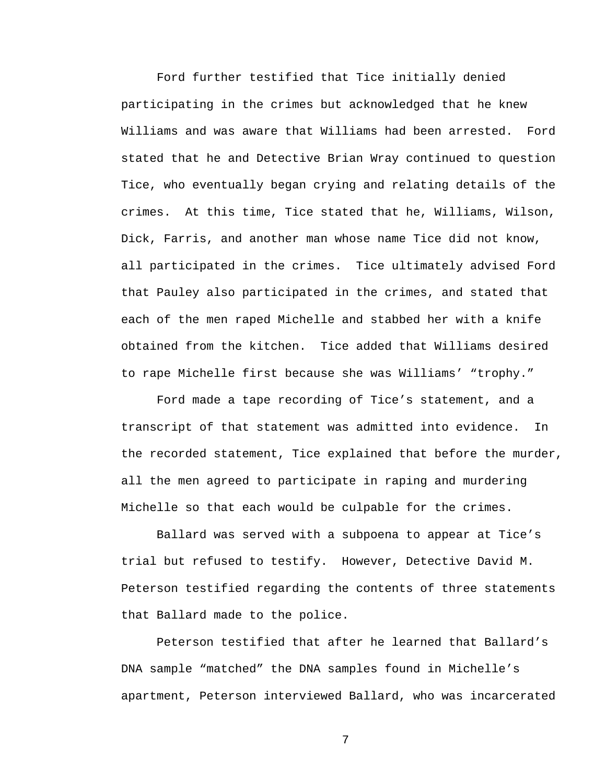Ford further testified that Tice initially denied participating in the crimes but acknowledged that he knew Williams and was aware that Williams had been arrested. Ford stated that he and Detective Brian Wray continued to question Tice, who eventually began crying and relating details of the crimes. At this time, Tice stated that he, Williams, Wilson, Dick, Farris, and another man whose name Tice did not know, all participated in the crimes. Tice ultimately advised Ford that Pauley also participated in the crimes, and stated that each of the men raped Michelle and stabbed her with a knife obtained from the kitchen. Tice added that Williams desired to rape Michelle first because she was Williams' "trophy."

Ford made a tape recording of Tice's statement, and a transcript of that statement was admitted into evidence. In the recorded statement, Tice explained that before the murder, all the men agreed to participate in raping and murdering Michelle so that each would be culpable for the crimes.

 Ballard was served with a subpoena to appear at Tice's trial but refused to testify. However, Detective David M. Peterson testified regarding the contents of three statements that Ballard made to the police.

 Peterson testified that after he learned that Ballard's DNA sample "matched" the DNA samples found in Michelle's apartment, Peterson interviewed Ballard, who was incarcerated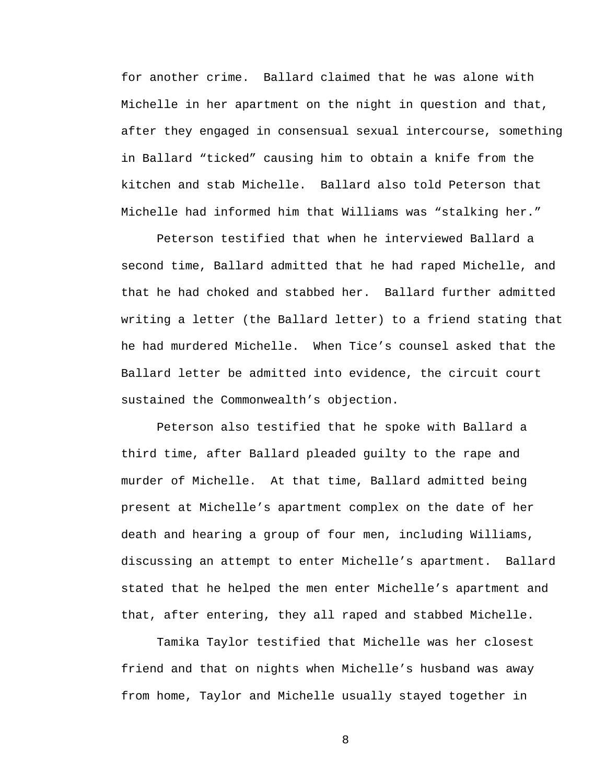for another crime. Ballard claimed that he was alone with Michelle in her apartment on the night in question and that, after they engaged in consensual sexual intercourse, something in Ballard "ticked" causing him to obtain a knife from the kitchen and stab Michelle. Ballard also told Peterson that Michelle had informed him that Williams was "stalking her."

Peterson testified that when he interviewed Ballard a second time, Ballard admitted that he had raped Michelle, and that he had choked and stabbed her. Ballard further admitted writing a letter (the Ballard letter) to a friend stating that he had murdered Michelle. When Tice's counsel asked that the Ballard letter be admitted into evidence, the circuit court sustained the Commonwealth's objection.

Peterson also testified that he spoke with Ballard a third time, after Ballard pleaded guilty to the rape and murder of Michelle. At that time, Ballard admitted being present at Michelle's apartment complex on the date of her death and hearing a group of four men, including Williams, discussing an attempt to enter Michelle's apartment. Ballard stated that he helped the men enter Michelle's apartment and that, after entering, they all raped and stabbed Michelle.

Tamika Taylor testified that Michelle was her closest friend and that on nights when Michelle's husband was away from home, Taylor and Michelle usually stayed together in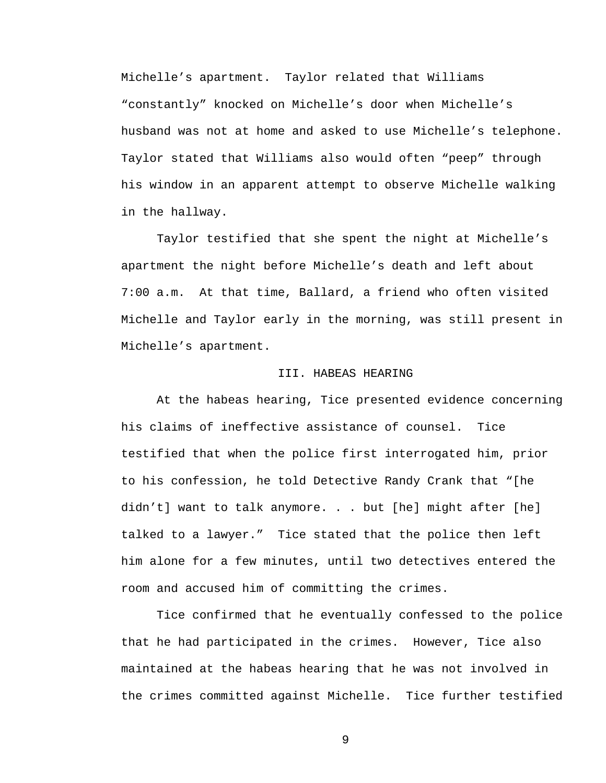Michelle's apartment. Taylor related that Williams "constantly" knocked on Michelle's door when Michelle's husband was not at home and asked to use Michelle's telephone. Taylor stated that Williams also would often "peep" through his window in an apparent attempt to observe Michelle walking in the hallway.

Taylor testified that she spent the night at Michelle's apartment the night before Michelle's death and left about 7:00 a.m. At that time, Ballard, a friend who often visited Michelle and Taylor early in the morning, was still present in Michelle's apartment.

## III. HABEAS HEARING

 At the habeas hearing, Tice presented evidence concerning his claims of ineffective assistance of counsel. Tice testified that when the police first interrogated him, prior to his confession, he told Detective Randy Crank that "[he didn't] want to talk anymore. . . but [he] might after [he] talked to a lawyer." Tice stated that the police then left him alone for a few minutes, until two detectives entered the room and accused him of committing the crimes.

 Tice confirmed that he eventually confessed to the police that he had participated in the crimes. However, Tice also maintained at the habeas hearing that he was not involved in the crimes committed against Michelle. Tice further testified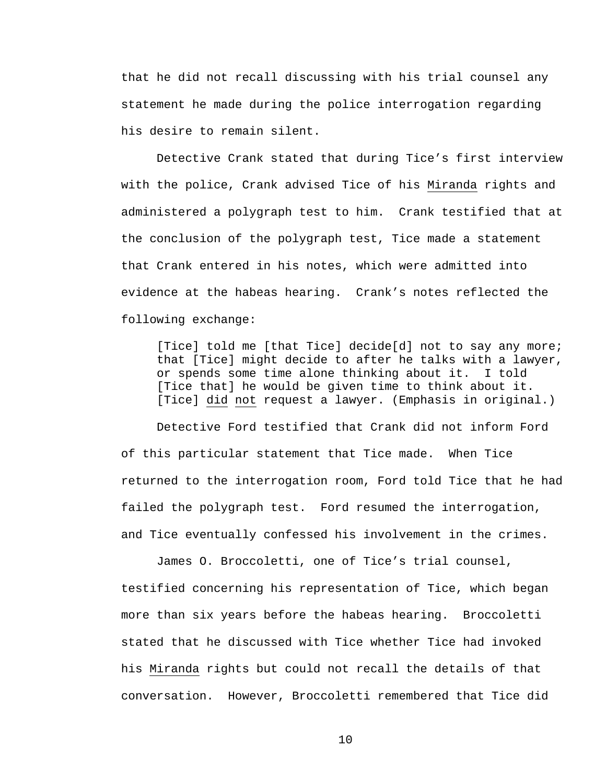that he did not recall discussing with his trial counsel any statement he made during the police interrogation regarding his desire to remain silent.

 Detective Crank stated that during Tice's first interview with the police, Crank advised Tice of his Miranda rights and administered a polygraph test to him. Crank testified that at the conclusion of the polygraph test, Tice made a statement that Crank entered in his notes, which were admitted into evidence at the habeas hearing. Crank's notes reflected the following exchange:

[Tice] told me [that Tice] decide[d] not to say any more; that [Tice] might decide to after he talks with a lawyer, or spends some time alone thinking about it. I told [Tice that] he would be given time to think about it. [Tice] did not request a lawyer. (Emphasis in original.)

Detective Ford testified that Crank did not inform Ford of this particular statement that Tice made. When Tice returned to the interrogation room, Ford told Tice that he had failed the polygraph test. Ford resumed the interrogation, and Tice eventually confessed his involvement in the crimes.

James O. Broccoletti, one of Tice's trial counsel, testified concerning his representation of Tice, which began more than six years before the habeas hearing. Broccoletti stated that he discussed with Tice whether Tice had invoked his Miranda rights but could not recall the details of that conversation. However, Broccoletti remembered that Tice did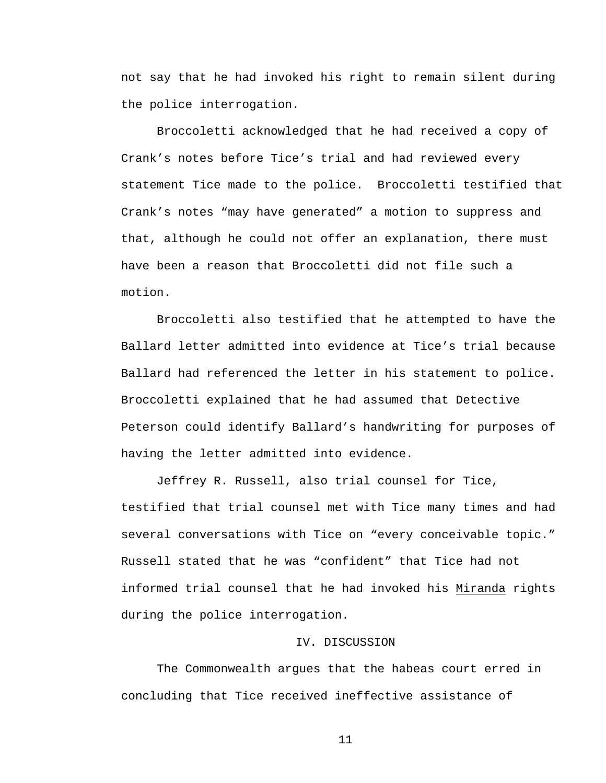not say that he had invoked his right to remain silent during the police interrogation.

Broccoletti acknowledged that he had received a copy of Crank's notes before Tice's trial and had reviewed every statement Tice made to the police. Broccoletti testified that Crank's notes "may have generated" a motion to suppress and that, although he could not offer an explanation, there must have been a reason that Broccoletti did not file such a motion.

Broccoletti also testified that he attempted to have the Ballard letter admitted into evidence at Tice's trial because Ballard had referenced the letter in his statement to police. Broccoletti explained that he had assumed that Detective Peterson could identify Ballard's handwriting for purposes of having the letter admitted into evidence.

Jeffrey R. Russell, also trial counsel for Tice, testified that trial counsel met with Tice many times and had several conversations with Tice on "every conceivable topic." Russell stated that he was "confident" that Tice had not informed trial counsel that he had invoked his Miranda rights during the police interrogation.

## IV. DISCUSSION

The Commonwealth argues that the habeas court erred in concluding that Tice received ineffective assistance of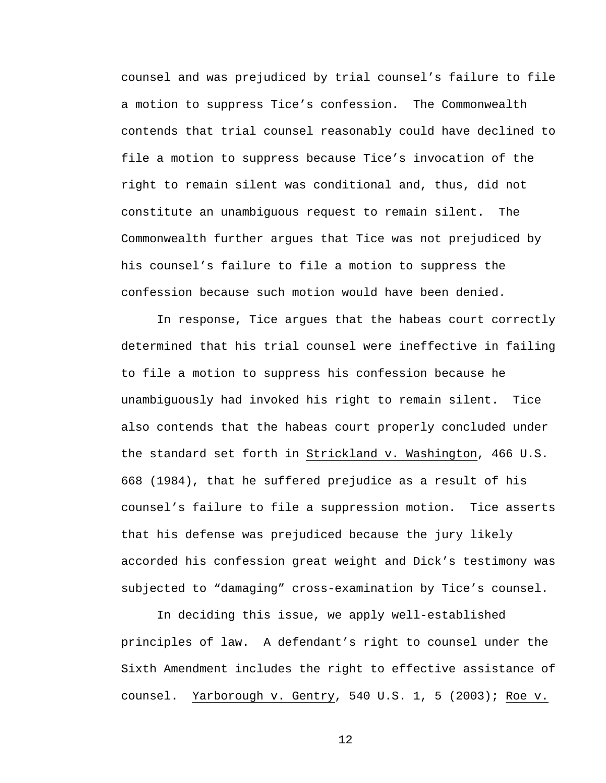counsel and was prejudiced by trial counsel's failure to file a motion to suppress Tice's confession. The Commonwealth contends that trial counsel reasonably could have declined to file a motion to suppress because Tice's invocation of the right to remain silent was conditional and, thus, did not constitute an unambiguous request to remain silent. The Commonwealth further argues that Tice was not prejudiced by his counsel's failure to file a motion to suppress the confession because such motion would have been denied.

In response, Tice argues that the habeas court correctly determined that his trial counsel were ineffective in failing to file a motion to suppress his confession because he unambiguously had invoked his right to remain silent. Tice also contends that the habeas court properly concluded under the standard set forth in Strickland v. Washington, 466 U.S. 668 (1984), that he suffered prejudice as a result of his counsel's failure to file a suppression motion. Tice asserts that his defense was prejudiced because the jury likely accorded his confession great weight and Dick's testimony was subjected to "damaging" cross-examination by Tice's counsel.

In deciding this issue, we apply well-established principles of law. A defendant's right to counsel under the Sixth Amendment includes the right to effective assistance of counsel. Yarborough v. Gentry, 540 U.S. 1, 5 (2003); Roe v.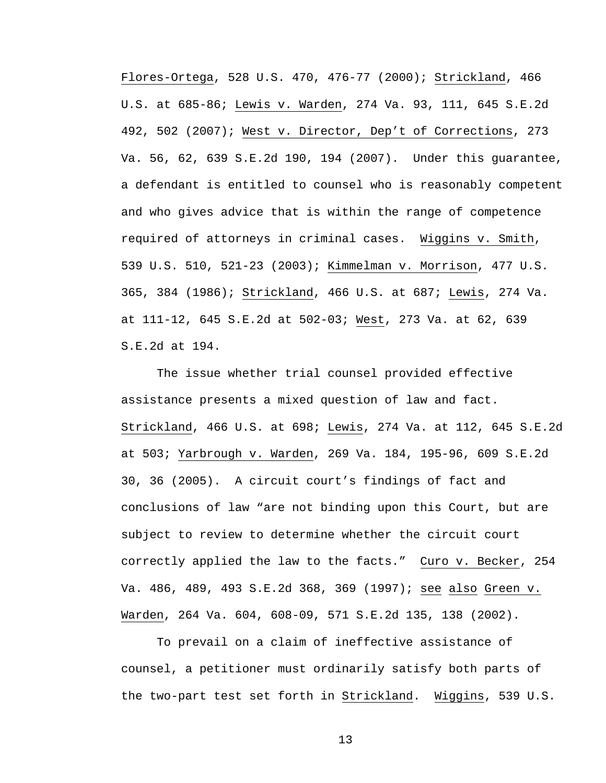Flores-Ortega, 528 U.S. 470, 476-77 (2000); Strickland, 466 U.S. at 685-86; Lewis v. Warden, 274 Va. 93, 111, 645 S.E.2d 492, 502 (2007); West v. Director, Dep't of Corrections, 273 Va. 56, 62, 639 S.E.2d 190, 194 (2007). Under this guarantee, a defendant is entitled to counsel who is reasonably competent and who gives advice that is within the range of competence required of attorneys in criminal cases. Wiggins v. Smith, 539 U.S. 510, 521-23 (2003); Kimmelman v. Morrison, 477 U.S. 365, 384 (1986); Strickland, 466 U.S. at 687; Lewis, 274 Va. at 111-12, 645 S.E.2d at 502-03; West, 273 Va. at 62, 639 S.E.2d at 194.

The issue whether trial counsel provided effective assistance presents a mixed question of law and fact. Strickland, 466 U.S. at 698; Lewis, 274 Va. at 112, 645 S.E.2d at 503; Yarbrough v. Warden, 269 Va. 184, 195-96, 609 S.E.2d 30, 36 (2005). A circuit court's findings of fact and conclusions of law "are not binding upon this Court, but are subject to review to determine whether the circuit court correctly applied the law to the facts." Curo v. Becker, 254 Va. 486, 489, 493 S.E.2d 368, 369 (1997); see also Green v. Warden, 264 Va. 604, 608-09, 571 S.E.2d 135, 138 (2002).

To prevail on a claim of ineffective assistance of counsel, a petitioner must ordinarily satisfy both parts of the two-part test set forth in Strickland. Wiggins, 539 U.S.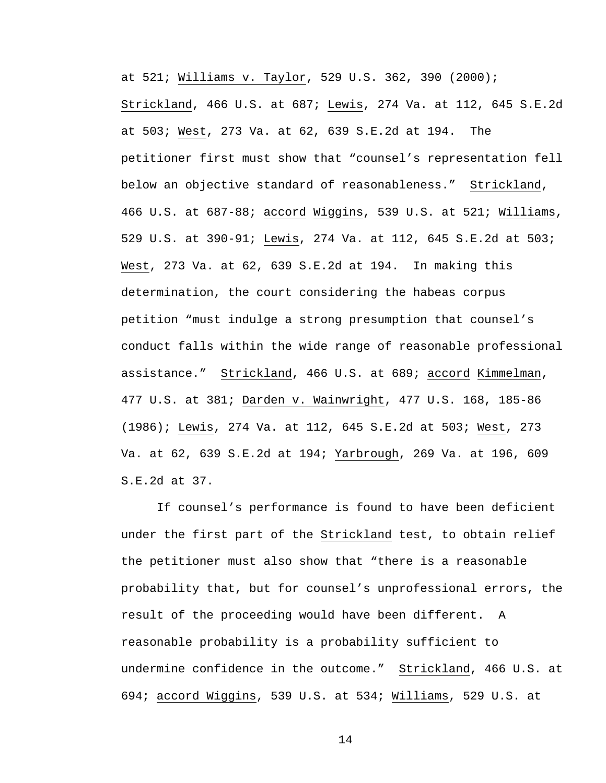at 521; Williams v. Taylor, 529 U.S. 362, 390 (2000); Strickland, 466 U.S. at 687; Lewis, 274 Va. at 112, 645 S.E.2d at 503; West, 273 Va. at 62, 639 S.E.2d at 194. The petitioner first must show that "counsel's representation fell below an objective standard of reasonableness." Strickland, 466 U.S. at 687-88; accord Wiggins, 539 U.S. at 521; Williams, 529 U.S. at 390-91; Lewis, 274 Va. at 112, 645 S.E.2d at 503; West, 273 Va. at 62, 639 S.E.2d at 194. In making this determination, the court considering the habeas corpus petition "must indulge a strong presumption that counsel's conduct falls within the wide range of reasonable professional assistance." Strickland, 466 U.S. at 689; accord Kimmelman, 477 U.S. at 381; Darden v. Wainwright, 477 U.S. 168, 185-86 (1986); Lewis, 274 Va. at 112, 645 S.E.2d at 503; West, 273 Va. at 62, 639 S.E.2d at 194; Yarbrough, 269 Va. at 196, 609 S.E.2d at 37.

If counsel's performance is found to have been deficient under the first part of the Strickland test, to obtain relief the petitioner must also show that "there is a reasonable probability that, but for counsel's unprofessional errors, the result of the proceeding would have been different. A reasonable probability is a probability sufficient to undermine confidence in the outcome." Strickland, 466 U.S. at 694; accord Wiggins, 539 U.S. at 534; Williams, 529 U.S. at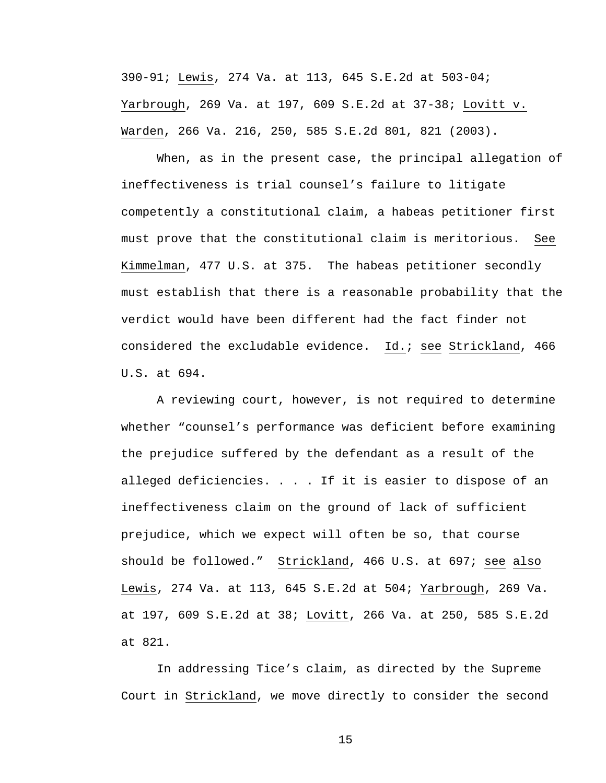390-91; Lewis, 274 Va. at 113, 645 S.E.2d at 503-04; Yarbrough, 269 Va. at 197, 609 S.E.2d at 37-38; Lovitt v. Warden, 266 Va. 216, 250, 585 S.E.2d 801, 821 (2003).

When, as in the present case, the principal allegation of ineffectiveness is trial counsel's failure to litigate competently a constitutional claim, a habeas petitioner first must prove that the constitutional claim is meritorious. See Kimmelman, 477 U.S. at 375. The habeas petitioner secondly must establish that there is a reasonable probability that the verdict would have been different had the fact finder not considered the excludable evidence. Id.; see Strickland, 466 U.S. at 694.

A reviewing court, however, is not required to determine whether "counsel's performance was deficient before examining the prejudice suffered by the defendant as a result of the alleged deficiencies. . . . If it is easier to dispose of an ineffectiveness claim on the ground of lack of sufficient prejudice, which we expect will often be so, that course should be followed." Strickland, 466 U.S. at 697; see also Lewis, 274 Va. at 113, 645 S.E.2d at 504; Yarbrough, 269 Va. at 197, 609 S.E.2d at 38; Lovitt, 266 Va. at 250, 585 S.E.2d at 821.

In addressing Tice's claim, as directed by the Supreme Court in Strickland, we move directly to consider the second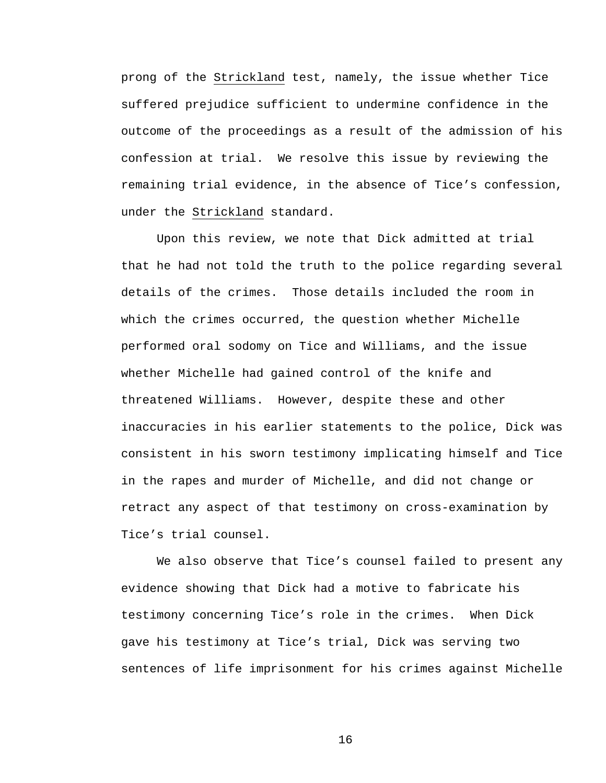prong of the Strickland test, namely, the issue whether Tice suffered prejudice sufficient to undermine confidence in the outcome of the proceedings as a result of the admission of his confession at trial. We resolve this issue by reviewing the remaining trial evidence, in the absence of Tice's confession, under the Strickland standard.

Upon this review, we note that Dick admitted at trial that he had not told the truth to the police regarding several details of the crimes. Those details included the room in which the crimes occurred, the question whether Michelle performed oral sodomy on Tice and Williams, and the issue whether Michelle had gained control of the knife and threatened Williams. However, despite these and other inaccuracies in his earlier statements to the police, Dick was consistent in his sworn testimony implicating himself and Tice in the rapes and murder of Michelle, and did not change or retract any aspect of that testimony on cross-examination by Tice's trial counsel.

We also observe that Tice's counsel failed to present any evidence showing that Dick had a motive to fabricate his testimony concerning Tice's role in the crimes. When Dick gave his testimony at Tice's trial, Dick was serving two sentences of life imprisonment for his crimes against Michelle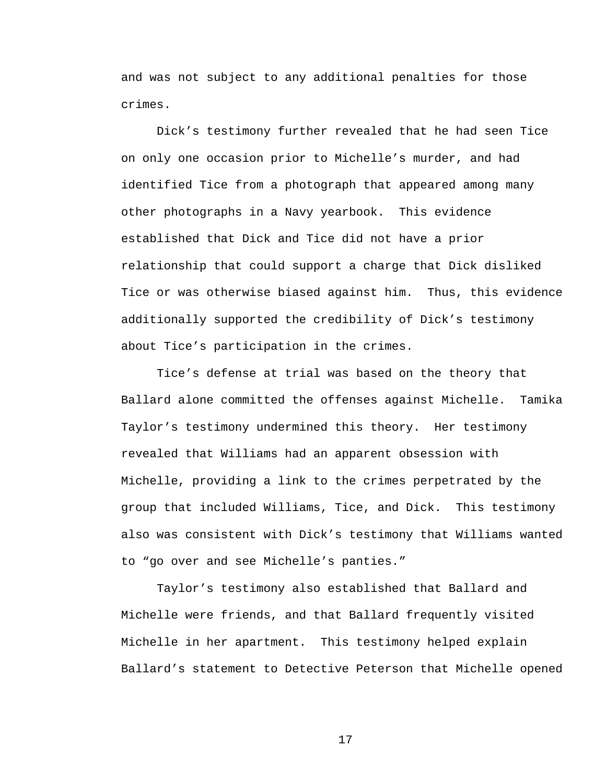and was not subject to any additional penalties for those crimes.

Dick's testimony further revealed that he had seen Tice on only one occasion prior to Michelle's murder, and had identified Tice from a photograph that appeared among many other photographs in a Navy yearbook. This evidence established that Dick and Tice did not have a prior relationship that could support a charge that Dick disliked Tice or was otherwise biased against him. Thus, this evidence additionally supported the credibility of Dick's testimony about Tice's participation in the crimes.

Tice's defense at trial was based on the theory that Ballard alone committed the offenses against Michelle. Tamika Taylor's testimony undermined this theory. Her testimony revealed that Williams had an apparent obsession with Michelle, providing a link to the crimes perpetrated by the group that included Williams, Tice, and Dick. This testimony also was consistent with Dick's testimony that Williams wanted to "go over and see Michelle's panties."

Taylor's testimony also established that Ballard and Michelle were friends, and that Ballard frequently visited Michelle in her apartment. This testimony helped explain Ballard's statement to Detective Peterson that Michelle opened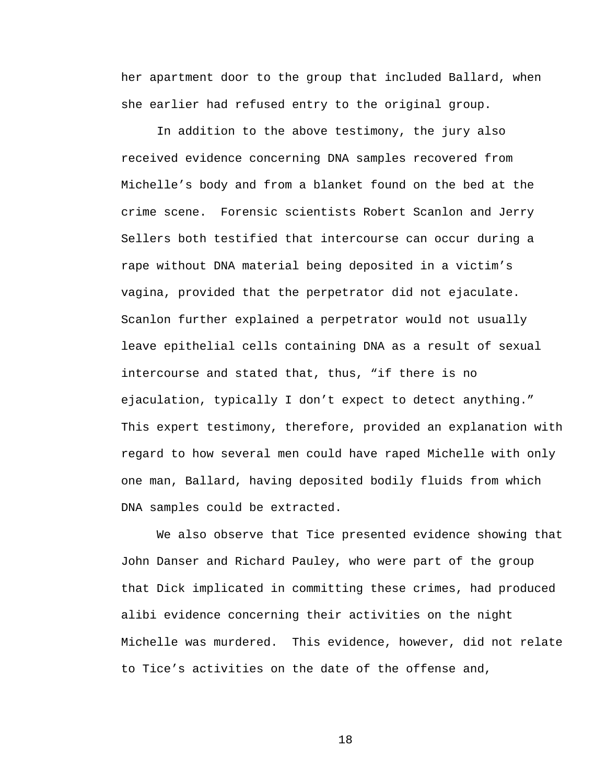her apartment door to the group that included Ballard, when she earlier had refused entry to the original group.

In addition to the above testimony, the jury also received evidence concerning DNA samples recovered from Michelle's body and from a blanket found on the bed at the crime scene. Forensic scientists Robert Scanlon and Jerry Sellers both testified that intercourse can occur during a rape without DNA material being deposited in a victim's vagina, provided that the perpetrator did not ejaculate. Scanlon further explained a perpetrator would not usually leave epithelial cells containing DNA as a result of sexual intercourse and stated that, thus, "if there is no ejaculation, typically I don't expect to detect anything." This expert testimony, therefore, provided an explanation with regard to how several men could have raped Michelle with only one man, Ballard, having deposited bodily fluids from which DNA samples could be extracted.

 We also observe that Tice presented evidence showing that John Danser and Richard Pauley, who were part of the group that Dick implicated in committing these crimes, had produced alibi evidence concerning their activities on the night Michelle was murdered. This evidence, however, did not relate to Tice's activities on the date of the offense and,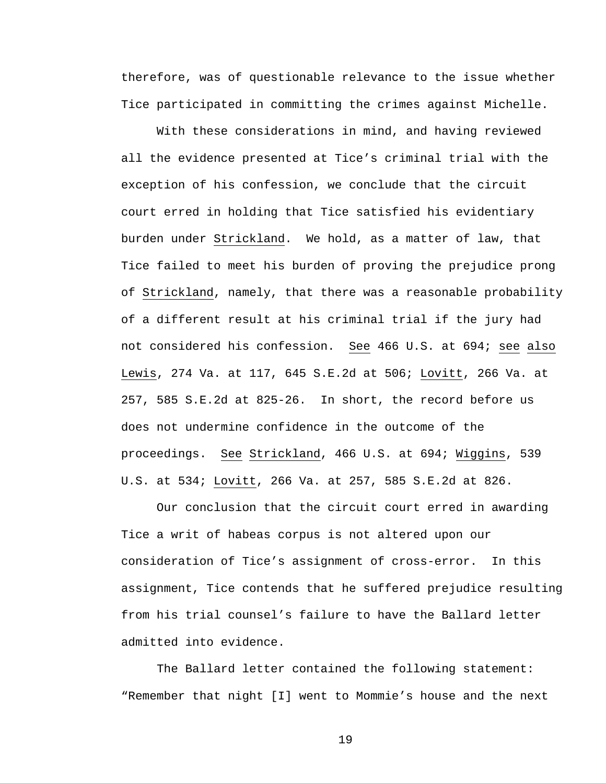therefore, was of questionable relevance to the issue whether Tice participated in committing the crimes against Michelle.

 With these considerations in mind, and having reviewed all the evidence presented at Tice's criminal trial with the exception of his confession, we conclude that the circuit court erred in holding that Tice satisfied his evidentiary burden under Strickland. We hold, as a matter of law, that Tice failed to meet his burden of proving the prejudice prong of Strickland, namely, that there was a reasonable probability of a different result at his criminal trial if the jury had not considered his confession. See 466 U.S. at 694; see also Lewis, 274 Va. at 117, 645 S.E.2d at 506; Lovitt, 266 Va. at 257, 585 S.E.2d at 825-26. In short, the record before us does not undermine confidence in the outcome of the proceedings. See Strickland, 466 U.S. at 694; Wiggins, 539 U.S. at 534; Lovitt, 266 Va. at 257, 585 S.E.2d at 826.

 Our conclusion that the circuit court erred in awarding Tice a writ of habeas corpus is not altered upon our consideration of Tice's assignment of cross-error. In this assignment, Tice contends that he suffered prejudice resulting from his trial counsel's failure to have the Ballard letter admitted into evidence.

The Ballard letter contained the following statement: "Remember that night [I] went to Mommie's house and the next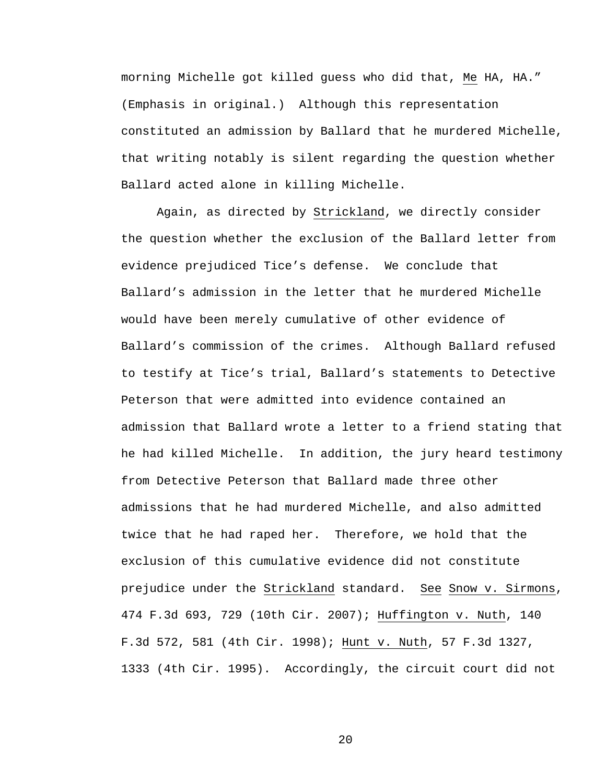morning Michelle got killed guess who did that, Me HA, HA." (Emphasis in original.) Although this representation constituted an admission by Ballard that he murdered Michelle, that writing notably is silent regarding the question whether Ballard acted alone in killing Michelle.

Again, as directed by Strickland, we directly consider the question whether the exclusion of the Ballard letter from evidence prejudiced Tice's defense. We conclude that Ballard's admission in the letter that he murdered Michelle would have been merely cumulative of other evidence of Ballard's commission of the crimes. Although Ballard refused to testify at Tice's trial, Ballard's statements to Detective Peterson that were admitted into evidence contained an admission that Ballard wrote a letter to a friend stating that he had killed Michelle. In addition, the jury heard testimony from Detective Peterson that Ballard made three other admissions that he had murdered Michelle, and also admitted twice that he had raped her. Therefore, we hold that the exclusion of this cumulative evidence did not constitute prejudice under the Strickland standard. See Snow v. Sirmons, 474 F.3d 693, 729 (10th Cir. 2007); Huffington v. Nuth, 140 F.3d 572, 581 (4th Cir. 1998); Hunt v. Nuth, 57 F.3d 1327, 1333 (4th Cir. 1995). Accordingly, the circuit court did not